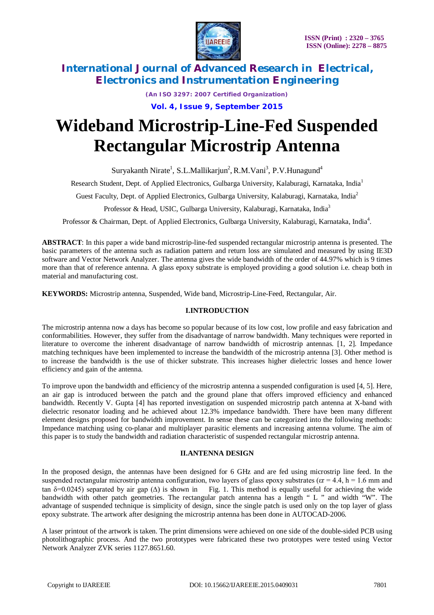

*(An ISO 3297: 2007 Certified Organization)*

**Vol. 4, Issue 9, September 2015**

# **Wideband Microstrip-Line-Fed Suspended Rectangular Microstrip Antenna**

Suryakanth Nirate<sup>1</sup>, S.L.Mallikarjun<sup>2</sup>, R.M.Vani<sup>3</sup>, P.V.Hunagund<sup>4</sup>

Research Student, Dept. of Applied Electronics, Gulbarga University, Kalaburagi, Karnataka, India<sup>1</sup>

Guest Faculty, Dept. of Applied Electronics, Gulbarga University, Kalaburagi, Karnataka, India<sup>2</sup>

Professor & Head, USIC, Gulbarga University, Kalaburagi, Karnataka, India<sup>3</sup>

Professor & Chairman, Dept. of Applied Electronics, Gulbarga University, Kalaburagi, Karnataka, India<sup>4</sup>.

**ABSTRACT**: In this paper a wide band microstrip-line-fed suspended rectangular microstrip antenna is presented. The basic parameters of the antenna such as radiation pattern and return loss are simulated and measured by using IE3D software and Vector Network Analyzer. The antenna gives the wide bandwidth of the order of 44.97% which is 9 times more than that of reference antenna. A glass epoxy substrate is employed providing a good solution i.e. cheap both in material and manufacturing cost.

**KEYWORDS:** Microstrip antenna, Suspended, Wide band, Microstrip-Line-Feed, Rectangular, Air.

### **I.INTRODUCTION**

The microstrip antenna now a days has become so popular because of its low cost, low profile and easy fabrication and conformabilities. However, they suffer from the disadvantage of narrow bandwidth. Many techniques were reported in literature to overcome the inherent disadvantage of narrow bandwidth of microstrip antennas. [1, 2]. Impedance matching techniques have been implemented to increase the bandwidth of the microstrip antenna [3]. Other method is to increase the bandwidth is the use of thicker substrate. This increases higher dielectric losses and hence lower efficiency and gain of the antenna.

To improve upon the bandwidth and efficiency of the microstrip antenna a suspended configuration is used [4, 5]. Here, an air gap is introduced between the patch and the ground plane that offers improved efficiency and enhanced bandwidth. Recently V. Gupta [4] has reported investigation on suspended microstrip patch antenna at X-band with dielectric resonator loading and he achieved about 12.3% impedance bandwidth. There have been many different element designs proposed for bandwidth improvement. In sense these can be categorized into the following methods: Impedance matching using co-planar and multiplayer parasitic elements and increasing antenna volume. The aim of this paper is to study the bandwidth and radiation characteristic of suspended rectangular microstrip antenna.

### **II.ANTENNA DESIGN**

In the proposed design, the antennas have been designed for 6 GHz and are fed using microstrip line feed. In the suspended rectangular microstrip antenna configuration, two layers of glass epoxy substrates ( $\varepsilon$ r = 4.4, h = 1.6 mm and tan  $\delta$ =0.0245) separated by air gap ( $\Delta$ ) is shown in Fig. 1. This method is equally useful for achieving the wide bandwidth with other patch geometries. The rectangular patch antenna has a length " L " and width "W". The advantage of suspended technique is simplicity of design, since the single patch is used only on the top layer of glass epoxy substrate. The artwork after designing the microstrip antenna has been done in AUTOCAD-2006.

A laser printout of the artwork is taken. The print dimensions were achieved on one side of the double-sided PCB using photolithographic process. And the two prototypes were fabricated these two prototypes were tested using Vector Network Analyzer ZVK series 1127.8651.60.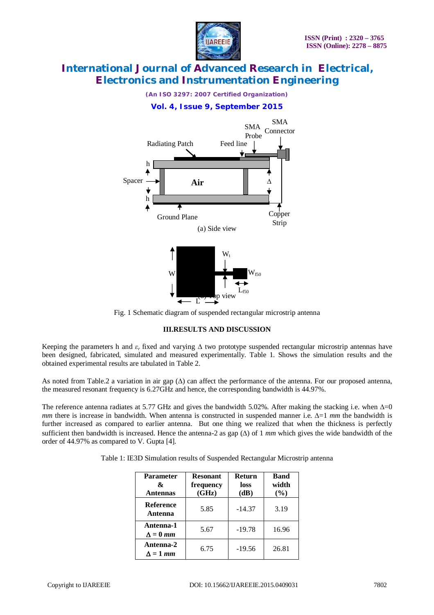

*(An ISO 3297: 2007 Certified Organization)*

## **Vol. 4, Issue 9, September 2015**



Fig. 1 Schematic diagram of suspended rectangular microstrip antenna

## **III.RESULTS AND DISCUSSION**

Keeping the parameters h and  $\varepsilon_r$  fixed and varying  $\Delta$  two prototype suspended rectangular microstrip antennas have been designed, fabricated, simulated and measured experimentally. Table 1. Shows the simulation results and the obtained experimental results are tabulated in Table 2.

As noted from Table.2 a variation in air gap  $(\Delta)$  can affect the performance of the antenna. For our proposed antenna, the measured resonant frequency is 6.27GHz and hence, the corresponding bandwidth is 44.97%.

The reference antenna radiates at 5.77 GHz and gives the bandwidth 5.02%. After making the stacking i.e. when  $\Delta=0$ *mm* there is increase in bandwidth. When antenna is constructed in suspended manner i.e.  $\Delta = 1$  *mm* the bandwidth is further increased as compared to earlier antenna. But one thing we realized that when the thickness is perfectly sufficient then bandwidth is increased. Hence the antenna-2 as gap  $(\Delta)$  of 1 *mm* which gives the wide bandwidth of the order of 44.97% as compared to V. Gupta [4].

| <b>Parameter</b><br>&<br><b>Antennas</b> | <b>Return</b><br><b>Resonant</b><br>frequency<br>loss<br>(GHz)<br>(dB) |          | <b>Band</b><br>width<br>(%) |
|------------------------------------------|------------------------------------------------------------------------|----------|-----------------------------|
| <b>Reference</b><br>Antenna              | 5.85                                                                   | $-14.37$ | 3.19                        |
| Antenna-1<br>$\Delta = 0$ mm             | 5.67                                                                   | $-19.78$ | 16.96                       |
| Antenna-2<br>$\Delta = 1$ mm             | 6.75                                                                   | $-19.56$ | 26.81                       |

|  |  | Table 1: IE3D Simulation results of Suspended Rectangular Microstrip antenna |
|--|--|------------------------------------------------------------------------------|
|  |  |                                                                              |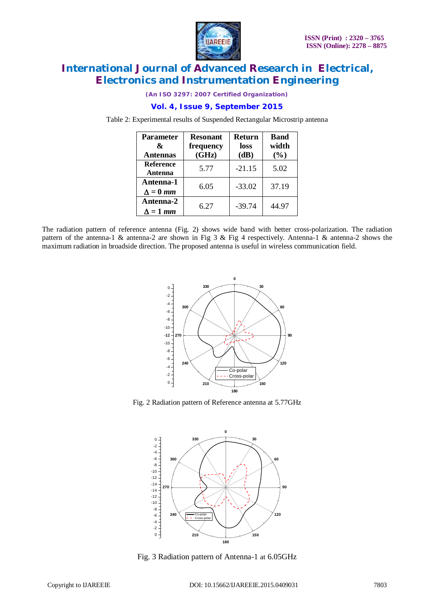

*(An ISO 3297: 2007 Certified Organization)*

## **Vol. 4, Issue 9, September 2015**

Table 2: Experimental results of Suspended Rectangular Microstrip antenna

| <b>Parameter</b><br>&<br><b>Antennas</b> | <b>Resonant</b><br>frequency<br>(GHz) | <b>Return</b><br>loss<br>(dB) | <b>Band</b><br>width<br>(%) |
|------------------------------------------|---------------------------------------|-------------------------------|-----------------------------|
| Reference<br>Antenna                     | 5.77                                  | $-21.15$                      | 5.02                        |
| Antenna-1<br>$\Delta = 0$ mm             | 6.05                                  | $-33.02$                      | 37.19                       |
| Antenna-2<br>$\Delta = 1$ mm             | 6.27                                  | $-39.74$                      | 44.97                       |

The radiation pattern of reference antenna (Fig. 2) shows wide band with better cross-polarization. The radiation pattern of the antenna-1 & antenna-2 are shown in Fig 3 & Fig 4 respectively. Antenna-1 & antenna-2 shows the maximum radiation in broadside direction. The proposed antenna is useful in wireless communication field.



Fig. 2 Radiation pattern of Reference antenna at 5.77GHz



Fig. 3 Radiation pattern of Antenna-1 at 6.05GHz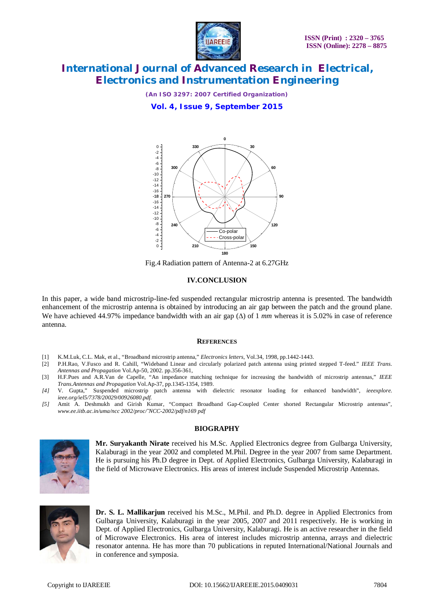

*(An ISO 3297: 2007 Certified Organization)*

**Vol. 4, Issue 9, September 2015**



Fig.4 Radiation pattern of Antenna-2 at 6.27GHz

#### **IV.CONCLUSION**

In this paper, a wide band microstrip-line-fed suspended rectangular microstrip antenna is presented. The bandwidth enhancement of the microstrip antenna is obtained by introducing an air gap between the patch and the ground plane. We have achieved 44.97% impedance bandwidth with an air gap  $(\Delta)$  of 1 *mm* whereas it is 5.02% in case of reference antenna.

#### **REFERENCES**

- [1] K.M.Luk, C.L. Mak, et al., "Broadband microstrip antenna," *Electronics letters,* Vol.34, 1998, pp.1442-1443.
- [2] P.H.Rao, V.Fusco and R. Cahill, "Wideband Linear and circularly polarized patch antenna using printed stepped T-feed." *IEEE Trans. Antennas and Propagation* Vol.Ap-50, 2002. pp.356-361,
- [3] H.F.Pues and A.R.Van de Capelle, "An impedance matching technique for increasing the bandwidth of microstrip antennas*,*" *IEEE Trans.Antennas and Propagation* Vol.Ap-37, pp.1345-1354, 1989.
- *[4]* V. Gupta," Suspended microstrip patch antenna with dielectric resonator loading for enhanced bandwidth", *ieeexplore. ieee.org/iel5/7378/20029/00926080.pdf.*
- *[5]* Amit A. Deshmukh and Girish Kumar, "Compact Broadband Gap-Coupled Center shorted Rectangular Microstrip antennas", *www.ee.iitb.ac.in/uma/ncc 2002/proc/˜NCC-2002/pdf/n169 pdf*

#### **BIOGRAPHY**



**Mr. Suryakanth Nirate** received his M.Sc. Applied Electronics degree from Gulbarga University, Kalaburagi in the year 2002 and completed M.Phil. Degree in the year 2007 from same Department. He is pursuing his Ph.D degree in Dept. of Applied Electronics, Gulbarga University, Kalaburagi in the field of Microwave Electronics. His areas of interest include Suspended Microstrip Antennas.



**Dr. S. L. Mallikarjun** received his M.Sc., M.Phil. and Ph.D. degree in Applied Electronics from Gulbarga University, Kalaburagi in the year 2005, 2007 and 2011 respectively. He is working in Dept. of Applied Electronics, Gulbarga University, Kalaburagi. He is an active researcher in the field of Microwave Electronics. His area of interest includes microstrip antenna, arrays and dielectric resonator antenna. He has more than 70 publications in reputed International/National Journals and in conference and symposia.